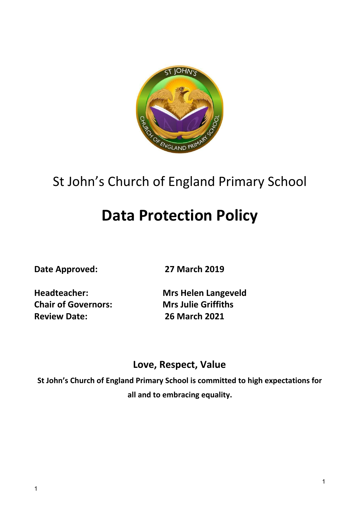

# St John's Church of England Primary School

# **Data Protection Policy**

**Date Approved: 27 March 2019**

**Chair of Governors: Mrs Julie Griffiths Review Date: 26 March 2021**

**Headteacher: Mrs Helen Langeveld**

# **Love, Respect, Value**

**St John's Church of England Primary School is committed to high expectations for all and to embracing equality.**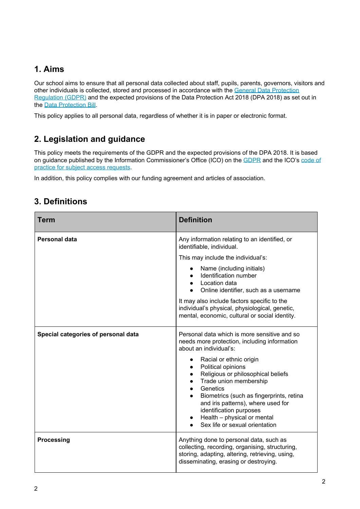# **1. Aims**

Our school aims to ensure that all personal data collected about staff, pupils, parents, governors, visitors and other individuals is collected, stored and processed in accordance with the General Data [Protection](http://data.consilium.europa.eu/doc/document/ST-5419-2016-INIT/en/pdf) [Regulation](http://data.consilium.europa.eu/doc/document/ST-5419-2016-INIT/en/pdf) (GDPR) and the expected provisions of the Data Protection Act 2018 (DPA 2018) as set out in the Data [Protection](https://publications.parliament.uk/pa/bills/cbill/2017-2019/0153/18153.pdf) Bill.

This policy applies to all personal data, regardless of whether it is in paper or electronic format.

# **2. Legislation and guidance**

This policy meets the requirements of the GDPR and the expected provisions of the DPA 2018. It is based on guidance published by the Information Commissioner's Office (ICO) on the [GDPR](https://ico.org.uk/for-organisations/guide-to-the-general-data-protection-regulation-gdpr/) and the ICO's [code](https://ico.org.uk/media/for-organisations/documents/2014223/subject-access-code-of-practice.pdf) of practice for subject access [requests](https://ico.org.uk/media/for-organisations/documents/2014223/subject-access-code-of-practice.pdf).

In addition, this policy complies with our funding agreement and articles of association.

# **3. Definitions**

| <b>Term</b>                         | <b>Definition</b>                                                                                                                                                                                                                                                                                                                                                                                                                                                                                  |
|-------------------------------------|----------------------------------------------------------------------------------------------------------------------------------------------------------------------------------------------------------------------------------------------------------------------------------------------------------------------------------------------------------------------------------------------------------------------------------------------------------------------------------------------------|
| <b>Personal data</b>                | Any information relating to an identified, or<br>identifiable, individual.<br>This may include the individual's:<br>Name (including initials)<br>Identification number<br>Location data<br>Online identifier, such as a username<br>It may also include factors specific to the<br>individual's physical, physiological, genetic,<br>mental, economic, cultural or social identity.                                                                                                                |
| Special categories of personal data | Personal data which is more sensitive and so<br>needs more protection, including information<br>about an individual's:<br>Racial or ethnic origin<br>Political opinions<br>$\bullet$<br>Religious or philosophical beliefs<br>$\bullet$<br>Trade union membership<br>$\bullet$<br>Genetics<br>$\bullet$<br>Biometrics (such as fingerprints, retina<br>and iris patterns), where used for<br>identification purposes<br>Health - physical or mental<br>$\bullet$<br>Sex life or sexual orientation |
| <b>Processing</b>                   | Anything done to personal data, such as<br>collecting, recording, organising, structuring,<br>storing, adapting, altering, retrieving, using,<br>disseminating, erasing or destroying.                                                                                                                                                                                                                                                                                                             |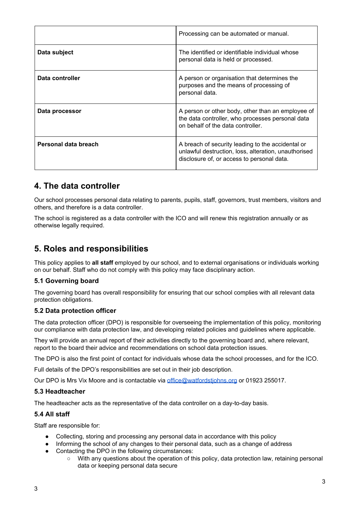|                      | Processing can be automated or manual.                                                                                                                  |
|----------------------|---------------------------------------------------------------------------------------------------------------------------------------------------------|
| Data subject         | The identified or identifiable individual whose<br>personal data is held or processed.                                                                  |
| Data controller      | A person or organisation that determines the<br>purposes and the means of processing of<br>personal data.                                               |
| Data processor       | A person or other body, other than an employee of<br>the data controller, who processes personal data<br>on behalf of the data controller.              |
| Personal data breach | A breach of security leading to the accidental or<br>unlawful destruction, loss, alteration, unauthorised<br>disclosure of, or access to personal data. |

### **4. The data controller**

Our school processes personal data relating to parents, pupils, staff, governors, trust members, visitors and others, and therefore is a data controller.

The school is registered as a data controller with the ICO and will renew this registration annually or as otherwise legally required.

### **5. Roles and responsibilities**

This policy applies to **all staff** employed by our school, and to external organisations or individuals working on our behalf. Staff who do not comply with this policy may face disciplinary action.

#### **5.1 Governing board**

The governing board has overall responsibility for ensuring that our school complies with all relevant data protection obligations.

#### **5.2 Data protection officer**

The data protection officer (DPO) is responsible for overseeing the implementation of this policy, monitoring our compliance with data protection law, and developing related policies and guidelines where applicable.

They will provide an annual report of their activities directly to the governing board and, where relevant, report to the board their advice and recommendations on school data protection issues.

The DPO is also the first point of contact for individuals whose data the school processes, and for the ICO.

Full details of the DPO's responsibilities are set out in their job description.

Our DPO is Mrs Vix Moore and is contactable via [office@watfordstjohns.org](mailto:office@watfordstjohns.org) or 01923 255017.

#### **5.3 Headteacher**

The headteacher acts as the representative of the data controller on a day-to-day basis.

#### **5.4 All staff**

Staff are responsible for:

- Collecting, storing and processing any personal data in accordance with this policy
- Informing the school of any changes to their personal data, such as a change of address
- Contacting the DPO in the following circumstances:
	- With any questions about the operation of this policy, data protection law, retaining personal data or keeping personal data secure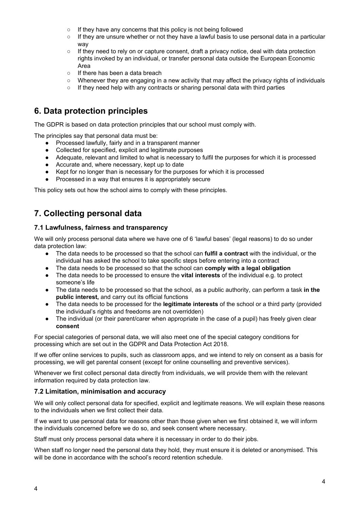- If they have any concerns that this policy is not being followed
- If they are unsure whether or not they have a lawful basis to use personal data in a particular way
- If they need to rely on or capture consent, draft a privacy notice, deal with data protection rights invoked by an individual, or transfer personal data outside the European Economic Area
- If there has been a data breach
- Whenever they are engaging in a new activity that may affect the privacy rights of individuals
- If they need help with any contracts or sharing personal data with third parties

## **6. Data protection principles**

The GDPR is based on data protection principles that our school must comply with.

The principles say that personal data must be:

- Processed lawfully, fairly and in a transparent manner
- Collected for specified, explicit and legitimate purposes
- Adequate, relevant and limited to what is necessary to fulfil the purposes for which it is processed
- Accurate and, where necessary, kept up to date
- Kept for no longer than is necessary for the purposes for which it is processed
- Processed in a way that ensures it is appropriately secure

This policy sets out how the school aims to comply with these principles.

# **7. Collecting personal data**

#### **7.1 Lawfulness, fairness and transparency**

We will only process personal data where we have one of 6 'lawful bases' (legal reasons) to do so under data protection law:

- The data needs to be processed so that the school can **fulfil a contract** with the individual, or the individual has asked the school to take specific steps before entering into a contract
- The data needs to be processed so that the school can **comply with a legal obligation**
- The data needs to be processed to ensure the **vital interests** of the individual e.g. to protect someone's life
- The data needs to be processed so that the school, as a public authority, can perform a task **in the public interest,** and carry out its official functions
- The data needs to be processed for the **legitimate interests** of the school or a third party (provided the individual's rights and freedoms are not overridden)
- The individual (or their parent/carer when appropriate in the case of a pupil) has freely given clear **consent**

For special categories of personal data, we will also meet one of the special category conditions for processing which are set out in the GDPR and Data Protection Act 2018.

If we offer online services to pupils, such as classroom apps, and we intend to rely on consent as a basis for processing, we will get parental consent (except for online counselling and preventive services).

Whenever we first collect personal data directly from individuals, we will provide them with the relevant information required by data protection law.

#### **7.2 Limitation, minimisation and accuracy**

We will only collect personal data for specified, explicit and legitimate reasons. We will explain these reasons to the individuals when we first collect their data.

If we want to use personal data for reasons other than those given when we first obtained it, we will inform the individuals concerned before we do so, and seek consent where necessary.

Staff must only process personal data where it is necessary in order to do their jobs.

When staff no longer need the personal data they hold, they must ensure it is deleted or anonymised. This will be done in accordance with the school's record retention schedule.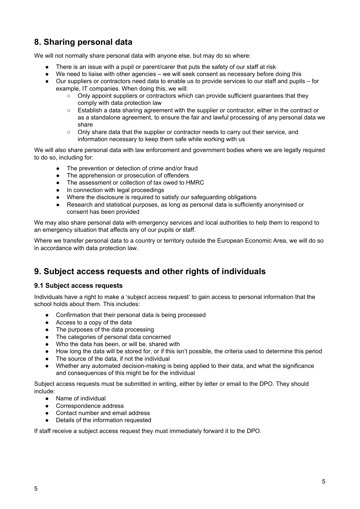# **8. Sharing personal data**

We will not normally share personal data with anyone else, but may do so where:

- There is an issue with a pupil or parent/carer that puts the safety of our staff at risk
- We need to liaise with other agencies we will seek consent as necessary before doing this
- Our suppliers or contractors need data to enable us to provide services to our staff and pupils for example, IT companies. When doing this, we will:
	- Only appoint suppliers or contractors which can provide sufficient guarantees that they comply with data protection law
	- Establish a data sharing agreement with the supplier or contractor, either in the contract or as a standalone agreement, to ensure the fair and lawful processing of any personal data we share
	- Only share data that the supplier or contractor needs to carry out their service, and information necessary to keep them safe while working with us

We will also share personal data with law enforcement and government bodies where we are legally required to do so, including for:

- The prevention or detection of crime and/or fraud
- The apprehension or prosecution of offenders
- The assessment or collection of tax owed to HMRC
- In connection with legal proceedings
- Where the disclosure is required to satisfy our safeguarding obligations
- Research and statistical purposes, as long as personal data is sufficiently anonymised or consent has been provided

We may also share personal data with emergency services and local authorities to help them to respond to an emergency situation that affects any of our pupils or staff.

Where we transfer personal data to a country or territory outside the European Economic Area, we will do so in accordance with data protection law.

### **9. Subject access requests and other rights of individuals**

#### **9.1 Subject access requests**

Individuals have a right to make a 'subject access request' to gain access to personal information that the school holds about them. This includes:

- Confirmation that their personal data is being processed
- Access to a copy of the data
- The purposes of the data processing
- The categories of personal data concerned
- Who the data has been, or will be, shared with
- How long the data will be stored for, or if this isn't possible, the criteria used to determine this period
- The source of the data, if not the individual
- Whether any automated decision-making is being applied to their data, and what the significance and consequences of this might be for the individual

Subject access requests must be submitted in writing, either by letter or email to the DPO. They should include:

- Name of individual
- Correspondence address
- Contact number and email address
- Details of the information requested

If staff receive a subject access request they must immediately forward it to the DPO.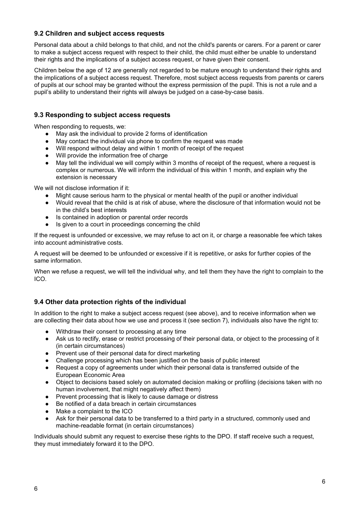#### **9.2 Children and subject access requests**

Personal data about a child belongs to that child, and not the child's parents or carers. For a parent or carer to make a subject access request with respect to their child, the child must either be unable to understand their rights and the implications of a subject access request, or have given their consent.

Children below the age of 12 are generally not regarded to be mature enough to understand their rights and the implications of a subject access request. Therefore, most subject access requests from parents or carers of pupils at our school may be granted without the express permission of the pupil. This is not a rule and a pupil's ability to understand their rights will always be judged on a case-by-case basis.

#### **9.3 Responding to subject access requests**

When responding to requests, we:

- May ask the individual to provide 2 forms of identification
- May contact the individual via phone to confirm the request was made
- Will respond without delay and within 1 month of receipt of the request
- Will provide the information free of charge
- May tell the individual we will comply within 3 months of receipt of the request, where a request is complex or numerous. We will inform the individual of this within 1 month, and explain why the extension is necessary

We will not disclose information if it:

- Might cause serious harm to the physical or mental health of the pupil or another individual
- Would reveal that the child is at risk of abuse, where the disclosure of that information would not be in the child's best interests
- Is contained in adoption or parental order records
- Is given to a court in proceedings concerning the child

If the request is unfounded or excessive, we may refuse to act on it, or charge a reasonable fee which takes into account administrative costs.

A request will be deemed to be unfounded or excessive if it is repetitive, or asks for further copies of the same information.

When we refuse a request, we will tell the individual why, and tell them they have the right to complain to the ICO.

#### **9.4 Other data protection rights of the individual**

In addition to the right to make a subject access request (see above), and to receive information when we are collecting their data about how we use and process it (see section 7), individuals also have the right to:

- Withdraw their consent to processing at any time
- Ask us to rectify, erase or restrict processing of their personal data, or object to the processing of it (in certain circumstances)
- Prevent use of their personal data for direct marketing
- Challenge processing which has been justified on the basis of public interest
- Request a copy of agreements under which their personal data is transferred outside of the European Economic Area
- Object to decisions based solely on automated decision making or profiling (decisions taken with no human involvement, that might negatively affect them)
- Prevent processing that is likely to cause damage or distress
- Be notified of a data breach in certain circumstances
- Make a complaint to the ICO
- Ask for their personal data to be transferred to a third party in a structured, commonly used and machine-readable format (in certain circumstances)

Individuals should submit any request to exercise these rights to the DPO. If staff receive such a request, they must immediately forward it to the DPO.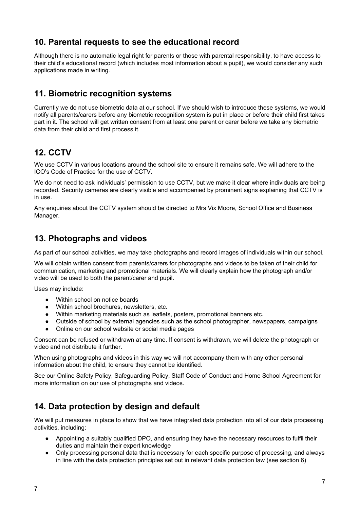# **10. Parental requests to see the educational record**

Although there is no automatic legal right for parents or those with parental responsibility, to have access to their child's educational record (which includes most information about a pupil), we would consider any such applications made in writing.

## **11. Biometric recognition systems**

Currently we do not use biometric data at our school. If we should wish to introduce these systems, we would notify all parents/carers before any biometric recognition system is put in place or before their child first takes part in it. The school will get written consent from at least one parent or carer before we take any biometric data from their child and first process it.

# **12. CCTV**

We use CCTV in various locations around the school site to ensure it remains safe. We will adhere to the ICO's Code of Practice for the use of CCTV.

We do not need to ask individuals' permission to use CCTV, but we make it clear where individuals are being recorded. Security cameras are clearly visible and accompanied by prominent signs explaining that CCTV is in use.

Any enquiries about the CCTV system should be directed to Mrs Vix Moore, School Office and Business Manager.

### **13. Photographs and videos**

As part of our school activities, we may take photographs and record images of individuals within our school.

We will obtain written consent from parents/carers for photographs and videos to be taken of their child for communication, marketing and promotional materials. We will clearly explain how the photograph and/or video will be used to both the parent/carer and pupil.

Uses may include:

- Within school on notice boards
- Within school brochures, newsletters, etc.
- Within marketing materials such as leaflets, posters, promotional banners etc.
- Outside of school by external agencies such as the school photographer, newspapers, campaigns
- Online on our school website or social media pages

Consent can be refused or withdrawn at any time. If consent is withdrawn, we will delete the photograph or video and not distribute it further.

When using photographs and videos in this way we will not accompany them with any other personal information about the child, to ensure they cannot be identified.

See our Online Safety Policy, Safeguarding Policy, Staff Code of Conduct and Home School Agreement for more information on our use of photographs and videos.

# **14. Data protection by design and default**

We will put measures in place to show that we have integrated data protection into all of our data processing activities, including:

- Appointing a suitably qualified DPO, and ensuring they have the necessary resources to fulfil their duties and maintain their expert knowledge
- Only processing personal data that is necessary for each specific purpose of processing, and always in line with the data protection principles set out in relevant data protection law (see section 6)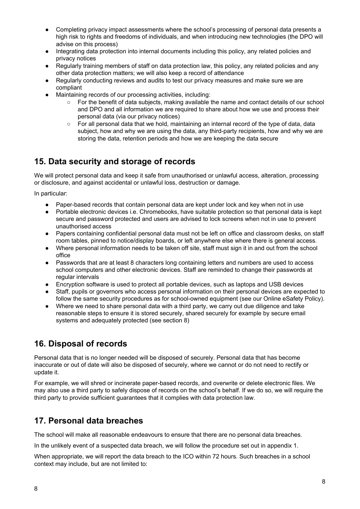- Completing privacy impact assessments where the school's processing of personal data presents a high risk to rights and freedoms of individuals, and when introducing new technologies (the DPO will advise on this process)
- Integrating data protection into internal documents including this policy, any related policies and privacy notices
- Regularly training members of staff on data protection law, this policy, any related policies and any other data protection matters; we will also keep a record of attendance
- Regularly conducting reviews and audits to test our privacy measures and make sure we are compliant
- Maintaining records of our processing activities, including:
	- For the benefit of data subjects, making available the name and contact details of our school and DPO and all information we are required to share about how we use and process their personal data (via our privacy notices)
	- $\circ$  For all personal data that we hold, maintaining an internal record of the type of data, data subject, how and why we are using the data, any third-party recipients, how and why we are storing the data, retention periods and how we are keeping the data secure

# **15. Data security and storage of records**

We will protect personal data and keep it safe from unauthorised or unlawful access, alteration, processing or disclosure, and against accidental or unlawful loss, destruction or damage.

In particular:

- Paper-based records that contain personal data are kept under lock and key when not in use
- Portable electronic devices i.e. Chromebooks, have suitable protection so that personal data is kept secure and password protected and users are advised to lock screens when not in use to prevent unauthorised access
- Papers containing confidential personal data must not be left on office and classroom desks, on staff room tables, pinned to notice/display boards, or left anywhere else where there is general access.
- Where personal information needs to be taken off site, staff must sign it in and out from the school office
- Passwords that are at least 8 characters long containing letters and numbers are used to access school computers and other electronic devices. Staff are reminded to change their passwords at regular intervals
- Encryption software is used to protect all portable devices, such as laptops and USB devices
- Staff, pupils or governors who access personal information on their personal devices are expected to follow the same security procedures as for school-owned equipment (see our Online eSafety Policy).
- Where we need to share personal data with a third party, we carry out due diligence and take reasonable steps to ensure it is stored securely, shared securely for example by secure email systems and adequately protected (see section 8)

# **16. Disposal of records**

Personal data that is no longer needed will be disposed of securely. Personal data that has become inaccurate or out of date will also be disposed of securely, where we cannot or do not need to rectify or update it.

For example, we will shred or incinerate paper-based records, and overwrite or delete electronic files. We may also use a third party to safely dispose of records on the school's behalf. If we do so, we will require the third party to provide sufficient guarantees that it complies with data protection law.

# **17. Personal data breaches**

The school will make all reasonable endeavours to ensure that there are no personal data breaches.

In the unlikely event of a suspected data breach, we will follow the procedure set out in appendix 1.

When appropriate, we will report the data breach to the ICO within 72 hours. Such breaches in a school context may include, but are not limited to: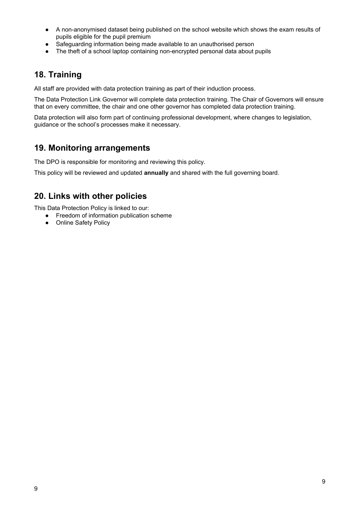- A non-anonymised dataset being published on the school website which shows the exam results of pupils eligible for the pupil premium
- Safeguarding information being made available to an unauthorised person
- The theft of a school laptop containing non-encrypted personal data about pupils

## **18. Training**

All staff are provided with data protection training as part of their induction process.

The Data Protection Link Governor will complete data protection training. The Chair of Governors will ensure that on every committee, the chair and one other governor has completed data protection training.

Data protection will also form part of continuing professional development, where changes to legislation, guidance or the school's processes make it necessary.

### **19. Monitoring arrangements**

The DPO is responsible for monitoring and reviewing this policy.

This policy will be reviewed and updated **annually** and shared with the full governing board.

### **20. Links with other policies**

This Data Protection Policy is linked to our:

- Freedom of information publication scheme
- Online Safety Policy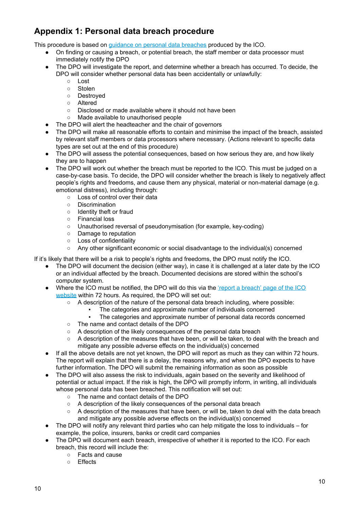# **Appendix 1: Personal data breach procedure**

This procedure is based on guidance on personal data [breaches](https://ico.org.uk/for-organisations/guide-to-the-general-data-protection-regulation-gdpr/personal-data-breaches/) produced by the ICO.

- On finding or causing a breach, or potential breach, the staff member or data processor must immediately notify the DPO
- The DPO will investigate the report, and determine whether a breach has occurred. To decide, the DPO will consider whether personal data has been accidentally or unlawfully:
	- Lost
	- Stolen
	- Destroyed
	- Altered
	- Disclosed or made available where it should not have been
	- Made available to unauthorised people
- The DPO will alert the headteacher and the chair of governors
- The DPO will make all reasonable efforts to contain and minimise the impact of the breach, assisted by relevant staff members or data processors where necessary. (Actions relevant to specific data types are set out at the end of this procedure)
- The DPO will assess the potential consequences, based on how serious they are, and how likely they are to happen
- The DPO will work out whether the breach must be reported to the ICO. This must be judged on a case-by-case basis. To decide, the DPO will consider whether the breach is likely to negatively affect people's rights and freedoms, and cause them any physical, material or non-material damage (e.g. emotional distress), including through:
	- Loss of control over their data
	- Discrimination
	- Identity theft or fraud
	- Financial loss
	- Unauthorised reversal of pseudonymisation (for example, key-coding)
	- Damage to reputation
	- Loss of confidentiality
	- Any other significant economic or social disadvantage to the individual(s) concerned

If it's likely that there will be a risk to people's rights and freedoms, the DPO must notify the ICO.

- The DPO will document the decision (either way), in case it is challenged at a later date by the ICO or an individual affected by the breach. Documented decisions are stored within the school's computer system.
- Where the ICO must be notified, the DPO will do this via the 'report a [breach'](https://ico.org.uk/for-organisations/report-a-breach/) page of the ICO [website](https://ico.org.uk/for-organisations/report-a-breach/) within 72 hours. As required, the DPO will set out:
	- A description of the nature of the personal data breach including, where possible:
		- The categories and approximate number of individuals concerned
		- The categories and approximate number of personal data records concerned
	- The name and contact details of the DPO
	- A description of the likely consequences of the personal data breach
	- A description of the measures that have been, or will be taken, to deal with the breach and mitigate any possible adverse effects on the individual(s) concerned
- If all the above details are not yet known, the DPO will report as much as they can within 72 hours. The report will explain that there is a delay, the reasons why, and when the DPO expects to have further information. The DPO will submit the remaining information as soon as possible
- The DPO will also assess the risk to individuals, again based on the severity and likelihood of potential or actual impact. If the risk is high, the DPO will promptly inform, in writing, all individuals whose personal data has been breached. This notification will set out:
	- The name and contact details of the DPO
	- A description of the likely consequences of the personal data breach
	- A description of the measures that have been, or will be, taken to deal with the data breach and mitigate any possible adverse effects on the individual(s) concerned
- The DPO will notify any relevant third parties who can help mitigate the loss to individuals for example, the police, insurers, banks or credit card companies
- The DPO will document each breach, irrespective of whether it is reported to the ICO. For each breach, this record will include the:
	- Facts and cause
	- Effects